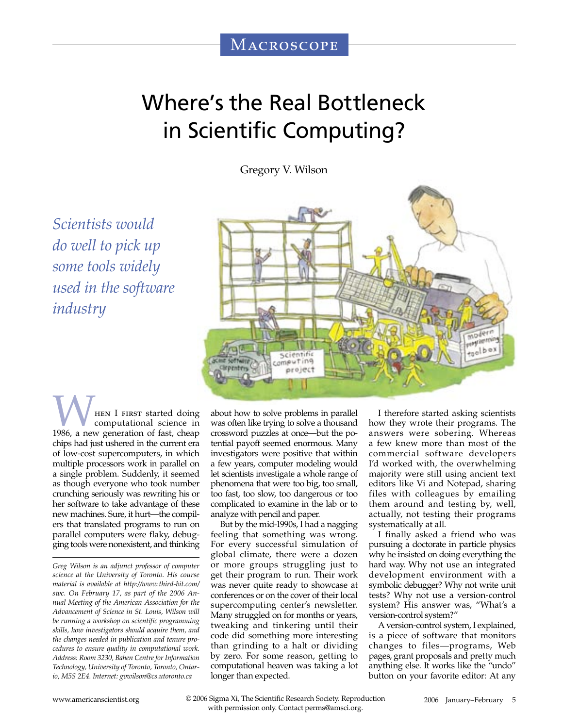## Where's the Real Bottleneck in Scientific Computing?

Gregory V. Wilson

Scientists would do well to pick up some tools widely used in the software industry



HEN I FIRST started doing computational science in 1986, a new generation of fast, cheap chips had just ushered in the current era of low-cost supercomputers, in which multiple processors work in parallel on a single problem. Suddenly, it seemed as though everyone who took number crunching seriously was rewriting his or her software to take advantage of these new machines. Sure, it hurt—the compilers that translated programs to run on parallel computers were flaky, debugging tools were nonexistent, and thinking

Greg Wilson is an adjunct professor of computer science at the University of Toronto. His course material is available at http://www.third-bit.com/ swc. On February 17, as part of the 2006 Annual Meeting of the American Association for the Advancement of Science in St. Louis, Wilson will be running a workshop on scientific programming skills, how investigators should acquire them, and the changes needed in publication and tenure procedures to ensure quality in computational work. Address: Room 3230, Bahen Centre for Information Technology, University of Toronto, Toronto, Ontario, M5S 2E4. Internet: gvwilson@cs.utoronto.ca

about how to solve problems in parallel was often like trying to solve a thousand crossword puzzles at once—but the potential payoff seemed enormous. Many investigators were positive that within a few years, computer modeling would let scientists investigate a whole range of phenomena that were too big, too small, too fast, too slow, too dangerous or too complicated to examine in the lab or to analyze with pencil and paper.

But by the mid-1990s, I had a nagging feeling that something was wrong. For every successful simulation of global climate, there were a dozen or more groups struggling just to get their program to run. Their work was never quite ready to showcase at conferences or on the cover of their local supercomputing center's newsletter. Many struggled on for months or years, tweaking and tinkering until their code did something more interesting than grinding to a halt or dividing by zero. For some reason, getting to computational heaven was taking a lot longer than expected.

I therefore started asking scientists how they wrote their programs. The answers were sobering. Whereas a few knew more than most of the commercial software developers I'd worked with, the overwhelming majority were still using ancient text editors like Vi and Notepad, sharing files with colleagues by emailing them around and testing by, well, actually, not testing their programs systematically at all.

I finally asked a friend who was pursuing a doctorate in particle physics why he insisted on doing everything the hard way. Why not use an integrated development environment with a symbolic debugger? Why not write unit tests? Why not use a version-control system? His answer was, "What's a version-control system?"

A version-control system, I explained, is a piece of software that monitors changes to files-programs, Web pages, grant proposals and pretty much anything else. It works like the "undo" button on your favorite editor: At any